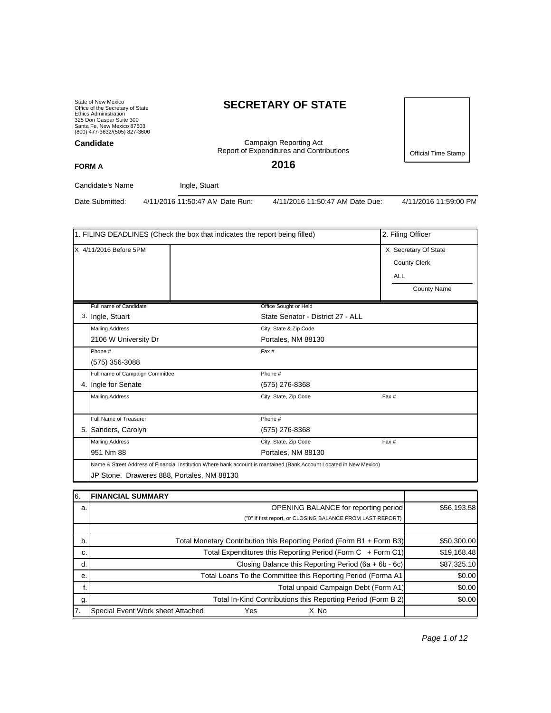State of New Mexico Office of the Secretary of State Ethics Administration 325 Don Gaspar Suite 300 Santa Fe, New Mexico 87503 (800) 477-3632/(505) 827-3600 **Candidate**

# **SECRETARY OF STATE**

Campaign Reporting Act Report of Expenditures and Contributions

**2016**

Official Time Stamp

**FORM A**

Candidate's Name Ingle, Stuart

Date Submitted: 4/11/2016 11:50:47 AM Date Run: 4/11/2016 11:50:47 AM Date Due: 4/11/2016 11:59:00 PM

|         |                                            | 1. FILING DEADLINES (Check the box that indicates the report being filled) |                                                                                                                     |            | 2. Filing Officer                                                 |
|---------|--------------------------------------------|----------------------------------------------------------------------------|---------------------------------------------------------------------------------------------------------------------|------------|-------------------------------------------------------------------|
|         | X 4/11/2016 Before 5PM                     |                                                                            |                                                                                                                     | <b>ALL</b> | X Secretary Of State<br><b>County Clerk</b><br><b>County Name</b> |
|         | Full name of Candidate                     |                                                                            | Office Sought or Held                                                                                               |            |                                                                   |
|         | 3. Ingle, Stuart                           |                                                                            | State Senator - District 27 - ALL                                                                                   |            |                                                                   |
|         | <b>Mailing Address</b>                     |                                                                            | City, State & Zip Code                                                                                              |            |                                                                   |
|         | 2106 W University Dr                       |                                                                            | Portales, NM 88130                                                                                                  |            |                                                                   |
|         | Phone #                                    |                                                                            | Fax #                                                                                                               |            |                                                                   |
|         | (575) 356-3088                             |                                                                            |                                                                                                                     |            |                                                                   |
|         | Full name of Campaign Committee            |                                                                            | Phone #                                                                                                             |            |                                                                   |
|         | 4. Ingle for Senate                        |                                                                            | (575) 276-8368                                                                                                      |            |                                                                   |
|         | <b>Mailing Address</b>                     |                                                                            | City, State, Zip Code                                                                                               | Fax #      |                                                                   |
|         | Full Name of Treasurer                     |                                                                            | Phone #                                                                                                             |            |                                                                   |
|         | 5. Sanders, Carolyn                        |                                                                            | (575) 276-8368                                                                                                      |            |                                                                   |
|         | <b>Mailing Address</b>                     |                                                                            | City, State, Zip Code                                                                                               | Fax #      |                                                                   |
|         | 951 Nm 88                                  |                                                                            | Portales, NM 88130                                                                                                  |            |                                                                   |
|         |                                            |                                                                            | Name & Street Address of Financial Institution Where bank account is mantained (Bank Account Located in New Mexico) |            |                                                                   |
|         | JP Stone. Draweres 888, Portales, NM 88130 |                                                                            |                                                                                                                     |            |                                                                   |
|         |                                            |                                                                            |                                                                                                                     |            |                                                                   |
| 6.<br>Э | <b>FINANCIAL SUMMARY</b>                   |                                                                            | OPENING RAI ANCE for reporting period                                                                               |            | \$5619358                                                         |

| IO. | I FINANCIAL SUMMART                                                   |             |
|-----|-----------------------------------------------------------------------|-------------|
| a.  | <b>OPENING BALANCE for reporting period</b>                           | \$56,193.58 |
|     | ("0" If first report, or CLOSING BALANCE FROM LAST REPORT)            |             |
|     |                                                                       |             |
| b.  | Total Monetary Contribution this Reporting Period (Form B1 + Form B3) | \$50,300.00 |
| C.  | Total Expenditures this Reporting Period (Form C + Form C1)           | \$19,168.48 |
| d.  | Closing Balance this Reporting Period (6a + 6b - 6c)                  | \$87,325.10 |
| е.  | Total Loans To the Committee this Reporting Period (Forma A1)         | \$0.00      |
|     | Total unpaid Campaign Debt (Form A1)                                  | \$0.00      |
| g.  | Total In-Kind Contributions this Reporting Period (Form B 2)          | \$0.00      |
| 17. | Special Event Work sheet Attached<br>Yes<br>X No                      |             |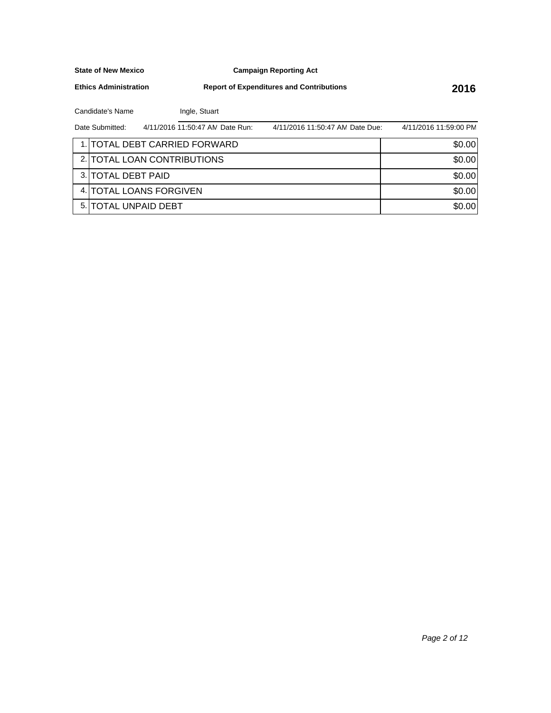**Campaign Reporting Act**

**Ethics Administration**

**Report of Expenditures and Contributions 2016**

Candidate's Name Ingle, Stuart

| Date Submitted:             | 4/11/2016 11:50:47 AN Date Run: | 4/11/2016 11:50:47 AN Date Due: | 4/11/2016 11:59:00 PM |
|-----------------------------|---------------------------------|---------------------------------|-----------------------|
|                             | 1. TOTAL DEBT CARRIED FORWARD   |                                 | \$0.00                |
|                             | 2. TOTAL LOAN CONTRIBUTIONS     |                                 | \$0.00                |
| 3. TOTAL DEBT PAID          |                                 |                                 | \$0.00                |
|                             | 4. TOTAL LOANS FORGIVEN         |                                 | \$0.00                |
| 5. <b>TOTAL UNPAID DEBT</b> |                                 |                                 | \$0.00                |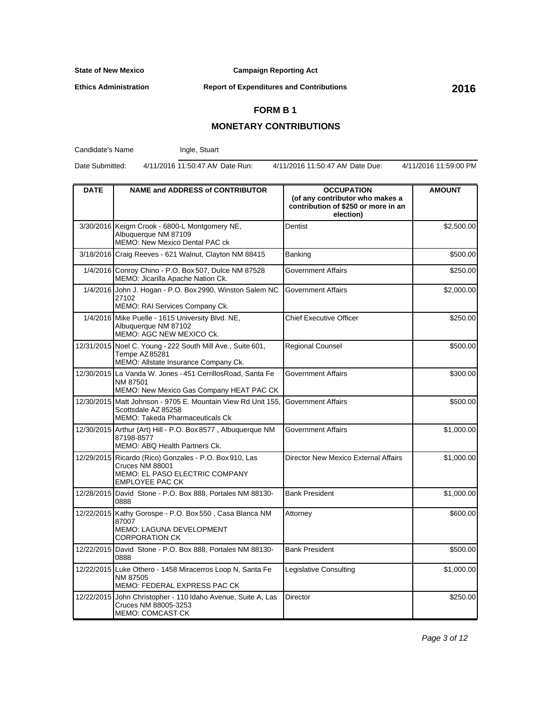**Campaign Reporting Act**

**Ethics Administration**

**Report of Expenditures and Contributions 2016**

## **FORM B 1**

## **MONETARY CONTRIBUTIONS**

Candidate's Name

Ingle, Stuart

Date Submitted: 4/11/2016 11:50:47 AM Date Run: 4/11/2016 11:50:47 AM Date Due: 4/11/2016 11:59:00 PM

| <b>DATE</b> | <b>NAME and ADDRESS of CONTRIBUTOR</b>                                                                                                | <b>OCCUPATION</b><br>(of any contributor who makes a<br>contribution of \$250 or more in an<br>election) | <b>AMOUNT</b> |
|-------------|---------------------------------------------------------------------------------------------------------------------------------------|----------------------------------------------------------------------------------------------------------|---------------|
|             | 3/30/2016 Keigm Crook - 6800-L Montgomery NE,<br>Albuquerque NM 87109<br>MEMO: New Mexico Dental PAC ck                               | Dentist                                                                                                  | \$2,500.00    |
|             | 3/18/2016 Craig Reeves - 621 Walnut, Clayton NM 88415                                                                                 | Banking                                                                                                  | \$500.00      |
|             | 1/4/2016 Conroy Chino - P.O. Box 507, Dulce NM 87528<br>MEMO: Jicarilla Apache Nation Ck.                                             | Government Affairs                                                                                       | \$250.00      |
|             | 1/4/2016 John J. Hogan - P.O. Box 2990, Winston Salem NC<br>27102<br>MEMO: RAI Services Company Ck.                                   | Government Affairs                                                                                       | \$2,000.00    |
|             | 1/4/2016 Mike Puelle - 1615 University Blvd. NE,<br>Albuquerque NM 87102<br>MEMO: AGC NEW MEXICO Ck.                                  | Chief Executive Officer                                                                                  | \$250.00      |
|             | 12/31/2015 Noel C. Young - 222 South Mill Ave., Suite 601,<br>Tempe AZ85281<br>MEMO: Allstate Insurance Company Ck.                   | <b>Regional Counsel</b>                                                                                  | \$500.00      |
|             | 12/30/2015 La Vanda W. Jones - 451 Cerrillos Road, Santa Fe<br>NM 87501<br>MEMO: New Mexico Gas Company HEAT PAC CK                   | Government Affairs                                                                                       | \$300.00      |
|             | 12/30/2015 Matt Johnson - 9705 E. Mountain View Rd Unit 155.<br>Scottsdale AZ 85258<br><b>MEMO: Takeda Pharmaceuticals Ck</b>         | Government Affairs                                                                                       | \$500.00      |
|             | 12/30/2015 Arthur (Art) Hill - P.O. Box 8577, Albuquerque NM<br>87198-8577<br>MEMO: ABQ Health Partners Ck.                           | Government Affairs                                                                                       | \$1,000.00    |
|             | 12/29/2015 Ricardo (Rico) Gonzales - P.O. Box 910, Las<br>Cruces NM 88001<br>MEMO: EL PASO ELECTRIC COMPANY<br><b>EMPLOYEE PAC CK</b> | Director New Mexico External Affairs                                                                     | \$1,000.00    |
|             | 12/28/2015 David Stone - P.O. Box 888, Portales NM 88130-<br>0888                                                                     | <b>Bank President</b>                                                                                    | \$1,000.00    |
|             | 12/22/2015 Kathy Gorospe - P.O. Box 550, Casa Blanca NM<br>87007<br>MEMO: LAGUNA DEVELOPMENT<br><b>CORPORATION CK</b>                 | Attorney                                                                                                 | \$600.00      |
|             | 12/22/2015 David Stone - P.O. Box 888, Portales NM 88130-<br>0888                                                                     | <b>Bank President</b>                                                                                    | \$500.00      |
|             | 12/22/2015 Luke Othero - 1458 Miracerros Loop N, Santa Fe<br>NM 87505<br>MEMO: FEDERAL EXPRESS PAC CK                                 | Legislative Consulting                                                                                   | \$1,000.00    |
|             | 12/22/2015 John Christopher - 110 Idaho Avenue, Suite A, Las<br>Cruces NM 88005-3253<br><b>MEMO: COMCAST CK</b>                       | <b>Director</b>                                                                                          | \$250.00      |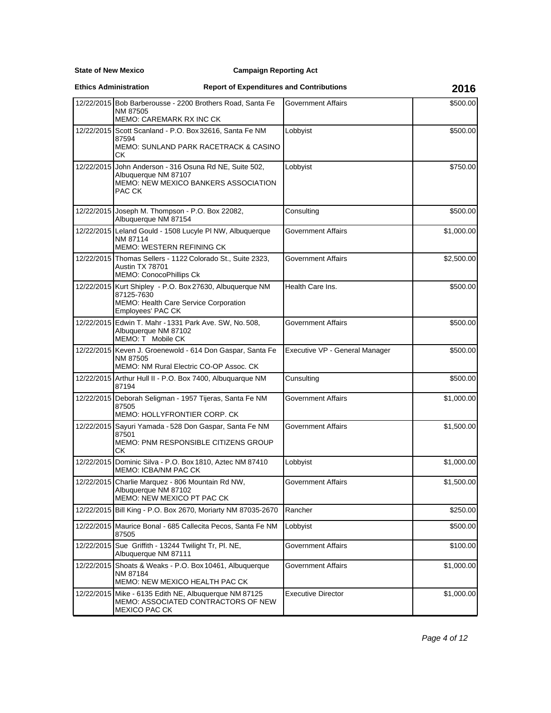**State of New Mexico**

### **Campaign Reporting Act**

#### **Ethics Administration**

## **Report of Expenditures and Contributions 2016**

|            | 12/22/2015 Bob Barberousse - 2200 Brothers Road, Santa Fe                                                                            | Government Affairs             | \$500.00   |
|------------|--------------------------------------------------------------------------------------------------------------------------------------|--------------------------------|------------|
|            | NM 87505<br><b>MEMO: CAREMARK RX INC CK</b>                                                                                          |                                |            |
|            | 12/22/2015 Scott Scanland - P.O. Box 32616, Santa Fe NM<br>87594<br><b>MEMO: SUNLAND PARK RACETRACK &amp; CASINO</b><br>CК           | Lobbyist                       | \$500.00   |
| 12/22/2015 | John Anderson - 316 Osuna Rd NE, Suite 502,<br>Albuquerque NM 87107<br>MEMO: NEW MEXICO BANKERS ASSOCIATION<br>PAC CK                | Lobbyist                       | \$750.00   |
|            | 12/22/2015 Joseph M. Thompson - P.O. Box 22082,<br>Albuquerque NM 87154                                                              | Consulting                     | \$500.00   |
|            | 12/22/2015 Leland Gould - 1508 Lucyle PI NW, Albuquerque<br>NM 87114<br>MEMO: WESTERN REFINING CK                                    | Government Affairs             | \$1,000.00 |
|            | 12/22/2015 Thomas Sellers - 1122 Colorado St., Suite 2323,<br>Austin TX 78701<br><b>MEMO: ConocoPhillips Ck</b>                      | Government Affairs             | \$2,500.00 |
|            | 12/22/2015 Kurt Shipley - P.O. Box 27630, Albuquerque NM<br>87125-7630<br>MEMO: Health Care Service Corporation<br>Employees' PAC CK | Health Care Ins.               | \$500.00   |
|            | 12/22/2015 Edwin T. Mahr - 1331 Park Ave. SW, No. 508,<br>Albuquerque NM 87102<br>MEMO: T Mobile CK                                  | Government Affairs             | \$500.00   |
|            | 12/22/2015 Keven J. Groenewold - 614 Don Gaspar, Santa Fe<br>NM 87505<br>MEMO: NM Rural Electric CO-OP Assoc. CK                     | Executive VP - General Manager | \$500.00   |
|            | 12/22/2015 Arthur Hull II - P.O. Box 7400, Albuquarque NM<br>87194                                                                   | Cunsulting                     | \$500.00   |
|            | 12/22/2015 Deborah Seligman - 1957 Tijeras, Santa Fe NM<br>87505<br>MEMO: HOLLYFRONTIER CORP. CK                                     | Government Affairs             | \$1,000.00 |
|            | 12/22/2015 Sayuri Yamada - 528 Don Gaspar, Santa Fe NM<br>87501<br>MEMO: PNM RESPONSIBLE CITIZENS GROUP<br>СK                        | Government Affairs             | \$1,500.00 |
|            | 12/22/2015   Dominic Silva - P.O. Box 1810, Aztec NM 87410<br><b>MEMO: ICBA/NM PAC CK</b>                                            | Lobbyist                       | \$1,000.00 |
| 12/22/2015 | Charlie Marquez - 806 Mountain Rd NW,<br>Albuquerque NM 87102<br>MEMO: NEW MEXICO PT PAC CK                                          | Government Affairs             | \$1,500.00 |
|            | 12/22/2015 Bill King - P.O. Box 2670, Moriarty NM 87035-2670                                                                         | Rancher                        | \$250.00   |
|            | 12/22/2015 Maurice Bonal - 685 Callecita Pecos, Santa Fe NM<br>87505                                                                 | Lobbyist                       | \$500.00   |
|            | 12/22/2015 Sue Griffith - 13244 Twilight Tr, Pl. NE,<br>Albuquerque NM 87111                                                         | <b>Government Affairs</b>      | \$100.00   |
|            | 12/22/2015 Shoats & Weaks - P.O. Box 10461, Albuquerque<br>NM 87184<br>MEMO: NEW MEXICO HEALTH PAC CK                                | Government Affairs             | \$1,000.00 |
| 12/22/2015 | Mike - 6135 Edith NE, Albuquerque NM 87125<br>MEMO: ASSOCIATED CONTRACTORS OF NEW<br>MEXICO PAC CK                                   | <b>Executive Director</b>      | \$1,000.00 |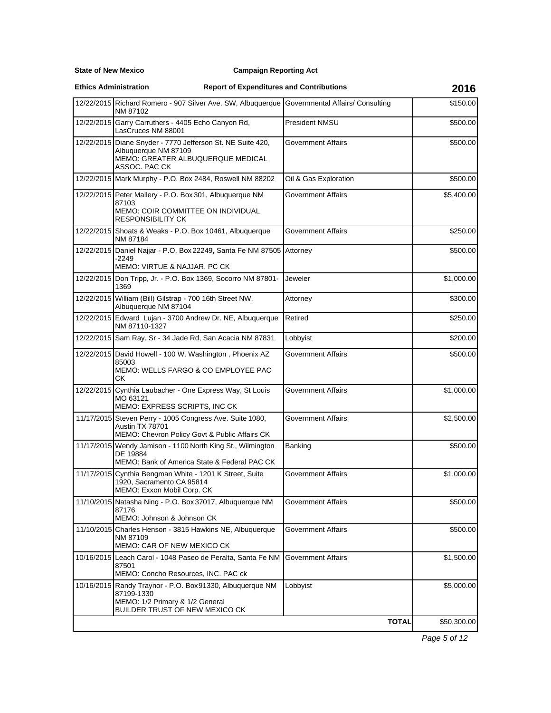**State of New Mexico**

### **Campaign Reporting Act**

**Ethics Administration**

## **Report of Expenditures and Contributions 2016**

| 12/22/2015 Richard Romero - 907 Silver Ave. SW, Albuquerque Governmental Affairs/ Consulting<br>NM 87102                                     |                           | \$150.00    |
|----------------------------------------------------------------------------------------------------------------------------------------------|---------------------------|-------------|
| 12/22/2015 Garry Carruthers - 4405 Echo Canyon Rd,<br>LasCruces NM 88001                                                                     | President NMSU            | \$500.00    |
| 12/22/2015 Diane Snyder - 7770 Jefferson St. NE Suite 420,<br>Albuquerque NM 87109<br>MEMO: GREATER ALBUQUERQUE MEDICAL<br>ASSOC. PAC CK     | <b>Government Affairs</b> | \$500.00    |
| 12/22/2015 Mark Murphy - P.O. Box 2484, Roswell NM 88202                                                                                     | Oil & Gas Exploration     | \$500.00    |
| 12/22/2015 Peter Mallery - P.O. Box 301, Albuquerque NM<br>87103<br>MEMO: COIR COMMITTEE ON INDIVIDUAL<br><b>RESPONSIBILITY CK</b>           | <b>Government Affairs</b> | \$5,400.00  |
| 12/22/2015 Shoats & Weaks - P.O. Box 10461, Albuquerque<br>NM 87184                                                                          | <b>Government Affairs</b> | \$250.00    |
| 12/22/2015 Daniel Najjar - P.O. Box 22249, Santa Fe NM 87505<br>-2249<br>MEMO: VIRTUE & NAJJAR, PC CK                                        | Attorney                  | \$500.00    |
| 12/22/2015 Don Tripp, Jr. - P.O. Box 1369, Socorro NM 87801-<br>1369                                                                         | Jeweler                   | \$1,000.00  |
| 12/22/2015 William (Bill) Gilstrap - 700 16th Street NW,<br>Albuquerque NM 87104                                                             | Attorney                  | \$300.00    |
| 12/22/2015 Edward Lujan - 3700 Andrew Dr. NE, Albuquerque<br>NM 87110-1327                                                                   | Retired                   | \$250.00    |
| 12/22/2015 Sam Ray, Sr - 34 Jade Rd, San Acacia NM 87831                                                                                     | Lobbyist                  | \$200.00    |
| 12/22/2015 David Howell - 100 W. Washington, Phoenix AZ<br>85003<br>MEMO: WELLS FARGO & CO EMPLOYEE PAC<br>СK                                | <b>Government Affairs</b> | \$500.00    |
| 12/22/2015 Cynthia Laubacher - One Express Way, St Louis<br>MO 63121<br>MEMO: EXPRESS SCRIPTS, INC CK                                        | <b>Government Affairs</b> | \$1,000.00  |
| 11/17/2015 Steven Perry - 1005 Congress Ave. Suite 1080,<br>Austin TX 78701<br>MEMO: Chevron Policy Govt & Public Affairs CK                 | Government Affairs        | \$2,500.00  |
| 11/17/2015 Wendy Jamison - 1100 North King St., Wilmington<br>DE 19884<br>MEMO: Bank of America State & Federal PAC CK                       | Banking                   | \$500.00    |
| 11/17/2015 Cynthia Bengman White - 1201 K Street, Suite<br>1920, Sacramento CA 95814<br>MEMO: Exxon Mobil Corp. CK                           | <b>Government Affairs</b> | \$1,000.00  |
| 11/10/2015 Natasha Ning - P.O. Box 37017, Albuquerque NM<br>87176<br>MEMO: Johnson & Johnson CK                                              | <b>Government Affairs</b> | \$500.00    |
| 11/10/2015 Charles Henson - 3815 Hawkins NE, Albuquerque<br>NM 87109<br>MEMO: CAR OF NEW MEXICO CK                                           | <b>Government Affairs</b> | \$500.00    |
| 10/16/2015 Leach Carol - 1048 Paseo de Peralta, Santa Fe NM<br>87501<br>MEMO: Concho Resources, INC. PAC ck                                  | <b>Government Affairs</b> | \$1,500.00  |
| 10/16/2015 Randy Traynor - P.O. Box 91330, Albuquerque NM<br>87199-1330<br>MEMO: 1/2 Primary & 1/2 General<br>BUILDER TRUST OF NEW MEXICO CK | Lobbyist                  | \$5,000.00  |
|                                                                                                                                              | <b>TOTAL</b>              | \$50,300.00 |

Page 5 of 12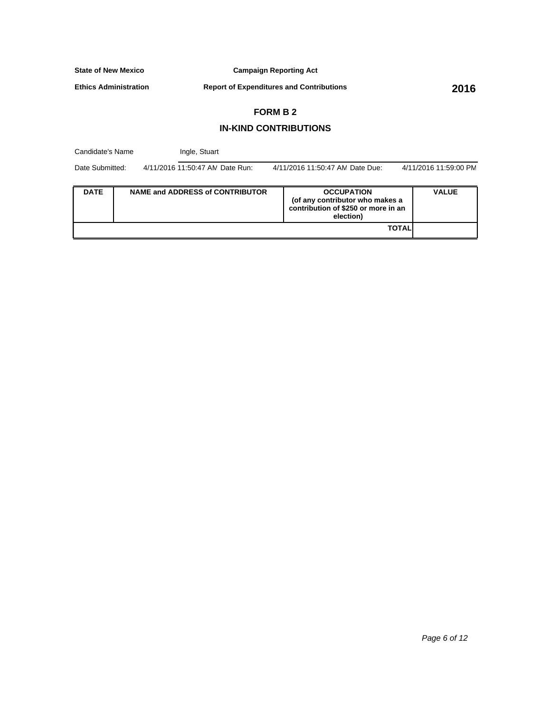**Campaign Reporting Act**

**Ethics Administration**

**Report of Expenditures and Contributions 2016**

# **FORM B 2**

## **IN-KIND CONTRIBUTIONS**

| Candidate's Name |  | Ingle, Stuart                          |  |                                                                                                          |                       |  |  |
|------------------|--|----------------------------------------|--|----------------------------------------------------------------------------------------------------------|-----------------------|--|--|
| Date Submitted:  |  | 4/11/2016 11:50:47 AN Date Run:        |  | 4/11/2016 11:50:47 AN Date Due:                                                                          | 4/11/2016 11:59:00 PM |  |  |
| <b>DATE</b>      |  | <b>NAME and ADDRESS of CONTRIBUTOR</b> |  | <b>OCCUPATION</b><br>(of any contributor who makes a<br>contribution of \$250 or more in an<br>election) | <b>VALUE</b>          |  |  |
|                  |  |                                        |  | <b>TOTAL</b>                                                                                             |                       |  |  |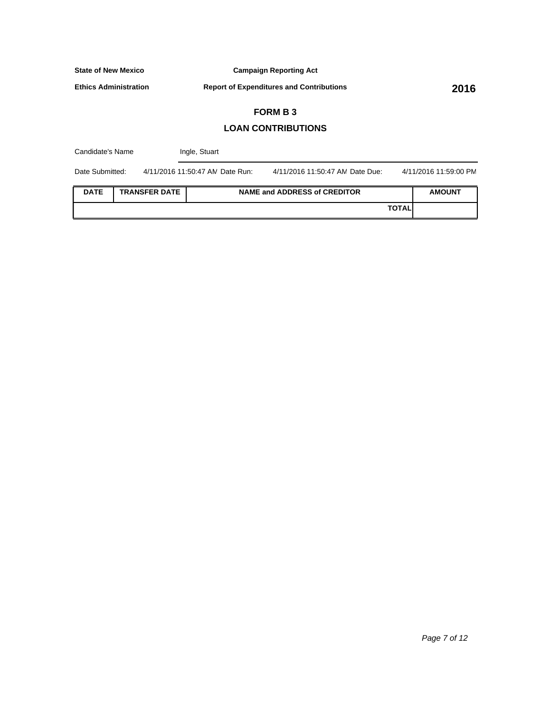**Campaign Reporting Act**

**Ethics Administration**

**Report of Expenditures and Contributions 2016**

# **FORM B 3**

## **LOAN CONTRIBUTIONS**

| Candidate's Name |                      | Ingle, Stuart                   |                                     |               |                       |
|------------------|----------------------|---------------------------------|-------------------------------------|---------------|-----------------------|
| Date Submitted:  |                      | 4/11/2016 11:50:47 AN Date Run: | 4/11/2016 11:50:47 AN Date Due:     |               | 4/11/2016 11:59:00 PM |
| <b>DATE</b>      | <b>TRANSFER DATE</b> |                                 | <b>NAME and ADDRESS of CREDITOR</b> |               | <b>AMOUNT</b>         |
|                  |                      |                                 |                                     | <b>TOTALI</b> |                       |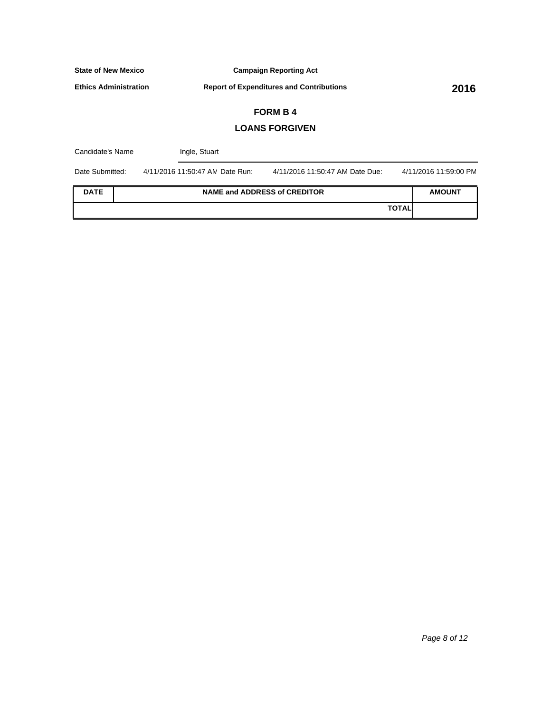**Campaign Reporting Act**

**Ethics Administration**

**Report of Expenditures and Contributions 2016**

# **FORM B 4**

## **LOANS FORGIVEN**

| Candidate's Name | Ingle, Stuart                   |                                     |              |                       |
|------------------|---------------------------------|-------------------------------------|--------------|-----------------------|
| Date Submitted:  | 4/11/2016 11:50:47 AN Date Run: | 4/11/2016 11:50:47 AN Date Due:     |              | 4/11/2016 11:59:00 PM |
| <b>DATE</b>      |                                 | <b>NAME and ADDRESS of CREDITOR</b> |              | <b>AMOUNT</b>         |
|                  |                                 |                                     | <b>TOTAL</b> |                       |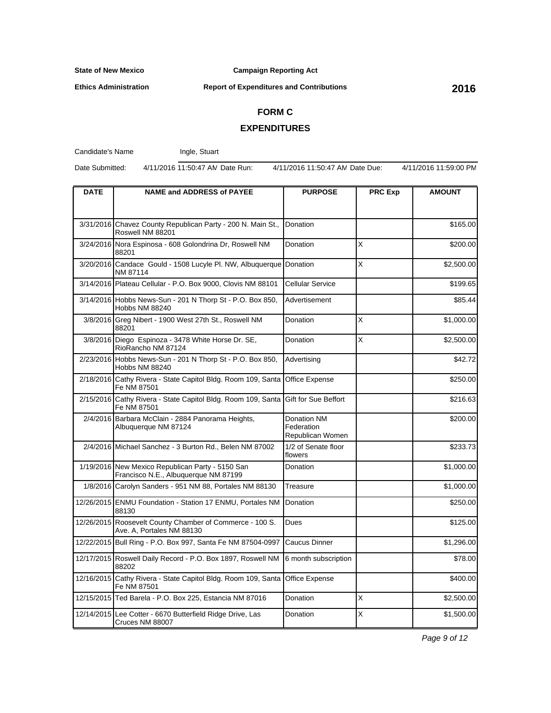**Ethics Administration**

#### **Campaign Reporting Act**

**Report of Expenditures and Contributions 2016**

# **FORM C**

## **EXPENDITURES**

Candidate's Name

Ingle, Stuart

Date Submitted: 4/11/2016 11:50:47 AM Date Run: 4/11/2016 11:50:47 AM Date Due: 4/11/2016 11:59:00 PM

| <b>DATE</b> | <b>NAME and ADDRESS of PAYEE</b>                                                         | <b>PURPOSE</b>                                | <b>PRC Exp</b> | <b>AMOUNT</b> |
|-------------|------------------------------------------------------------------------------------------|-----------------------------------------------|----------------|---------------|
|             |                                                                                          |                                               |                |               |
|             | 3/31/2016 Chavez County Republican Party - 200 N. Main St.,<br>Roswell NM 88201          | Donation                                      |                | \$165.00      |
|             | 3/24/2016 Nora Espinosa - 608 Golondrina Dr. Roswell NM<br>88201                         | Donation                                      | X              | \$200.00      |
|             | 3/20/2016 Candace Gould - 1508 Lucyle Pl. NW, Albuquerque Donation<br>NM 87114           |                                               | X              | \$2,500.00    |
|             | 3/14/2016 Plateau Cellular - P.O. Box 9000, Clovis NM 88101                              | Cellular Service                              |                | \$199.65      |
|             | 3/14/2016 Hobbs News-Sun - 201 N Thorp St - P.O. Box 850,<br><b>Hobbs NM 88240</b>       | Advertisement                                 |                | \$85.44       |
|             | 3/8/2016 Greg Nibert - 1900 West 27th St., Roswell NM<br>88201                           | Donation                                      | X              | \$1,000.00    |
| 3/8/2016    | Diego Espinoza - 3478 White Horse Dr. SE,<br>RioRancho NM 87124                          | Donation                                      | X              | \$2,500.00    |
|             | 2/23/2016 Hobbs News-Sun - 201 N Thorp St - P.O. Box 850,<br>Hobbs NM 88240              | Advertising                                   |                | \$42.72       |
|             | 2/18/2016 Cathy Rivera - State Capitol Bldg. Room 109, Santa<br>Fe NM 87501              | Office Expense                                |                | \$250.00      |
| 2/15/2016   | Cathy Rivera - State Capitol Bldg. Room 109, Santa<br>Fe NM 87501                        | Gift for Sue Beffort                          |                | \$216.63      |
|             | 2/4/2016 Barbara McClain - 2884 Panorama Heights,<br>Albuquerque NM 87124                | Donation NM<br>Federation<br>Republican Women |                | \$200.00      |
|             | 2/4/2016 Michael Sanchez - 3 Burton Rd., Belen NM 87002                                  | 1/2 of Senate floor<br>flowers                |                | \$233.73      |
|             | 1/19/2016 New Mexico Republican Party - 5150 San<br>Francisco N.E., Albuquerque NM 87199 | Donation                                      |                | \$1,000.00    |
|             | 1/8/2016 Carolyn Sanders - 951 NM 88, Portales NM 88130                                  | Treasure                                      |                | \$1,000.00    |
|             | 12/26/2015 ENMU Foundation - Station 17 ENMU, Portales NM<br>88130                       | Donation                                      |                | \$250.00      |
|             | 12/26/2015 Roosevelt County Chamber of Commerce - 100 S.<br>Ave. A, Portales NM 88130    | Dues                                          |                | \$125.00      |
|             | 12/22/2015 Bull Ring - P.O. Box 997, Santa Fe NM 87504-0997                              | Caucus Dinner                                 |                | \$1,296.00    |
|             | 12/17/2015 Roswell Daily Record - P.O. Box 1897, Roswell NM<br>88202                     | 6 month subscription                          |                | \$78.00       |
| 12/16/2015  | Cathy Rivera - State Capitol Bldg. Room 109, Santa<br>Fe NM 87501                        | Office Expense                                |                | \$400.00      |
|             | 12/15/2015 Ted Barela - P.O. Box 225, Estancia NM 87016                                  | Donation                                      | X              | \$2,500.00    |
|             | 12/14/2015 Lee Cotter - 6670 Butterfield Ridge Drive, Las<br>Cruces NM 88007             | Donation                                      | X              | \$1,500.00    |

Page 9 of 12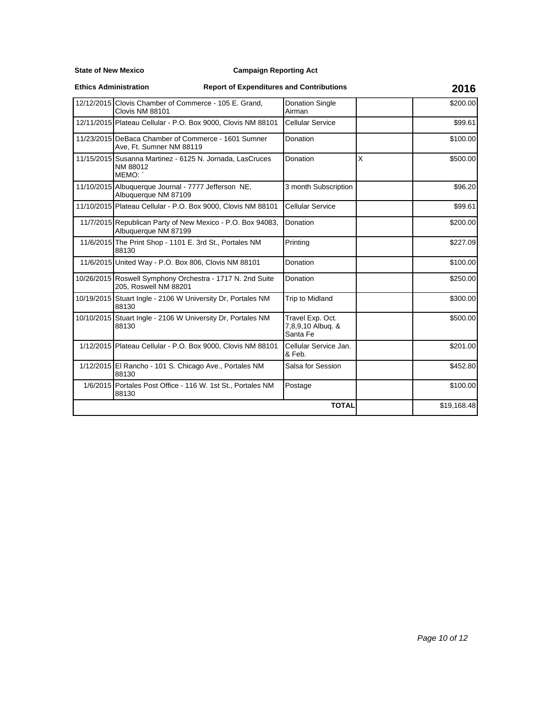**State of New Mexico**

### **Campaign Reporting Act**

**Ethics Administration**

## **Report of Expenditures and Contributions 2016**

| 12/12/2015 Clovis Chamber of Commerce - 105 E. Grand,<br>Clovis NM 88101           | <b>Donation Single</b><br>Airman                  |   | \$200.00    |
|------------------------------------------------------------------------------------|---------------------------------------------------|---|-------------|
| 12/11/2015 Plateau Cellular - P.O. Box 9000, Clovis NM 88101                       | Cellular Service                                  |   | \$99.61     |
| 11/23/2015 DeBaca Chamber of Commerce - 1601 Sumner<br>Ave, Ft. Sumner NM 88119    | Donation                                          |   | \$100.00    |
| 11/15/2015 Susanna Martinez - 6125 N. Jornada, LasCruces<br>NM 88012<br>MEMO:      | Donation                                          | X | \$500.00    |
| 11/10/2015 Albuquerque Journal - 7777 Jefferson NE,<br>Albuquerque NM 87109        | 3 month Subscription                              |   | \$96.20     |
| 11/10/2015 Plateau Cellular - P.O. Box 9000, Clovis NM 88101                       | <b>Cellular Service</b>                           |   | \$99.61     |
| 11/7/2015 Republican Party of New Mexico - P.O. Box 94083,<br>Albuquerque NM 87199 | Donation                                          |   | \$200.00    |
| 11/6/2015 The Print Shop - 1101 E. 3rd St., Portales NM<br>88130                   | Printing                                          |   | \$227.09    |
| 11/6/2015 United Way - P.O. Box 806, Clovis NM 88101                               | Donation                                          |   | \$100.00    |
| 10/26/2015 Roswell Symphony Orchestra - 1717 N. 2nd Suite<br>205. Roswell NM 88201 | Donation                                          |   | \$250.00    |
| 10/19/2015 Stuart Ingle - 2106 W University Dr, Portales NM<br>88130               | Trip to Midland                                   |   | \$300.00    |
| 10/10/2015 Stuart Ingle - 2106 W University Dr. Portales NM<br>88130               | Travel Exp. Oct.<br>7,8,9,10 Albuq. &<br>Santa Fe |   | \$500.00    |
| 1/12/2015 Plateau Cellular - P.O. Box 9000, Clovis NM 88101                        | Cellular Service Jan.<br>& Feb.                   |   | \$201.00    |
| 1/12/2015 El Rancho - 101 S. Chicago Ave., Portales NM<br>88130                    | Salsa for Session                                 |   | \$452.80    |
| 1/6/2015 Portales Post Office - 116 W. 1st St., Portales NM<br>88130               | Postage                                           |   | \$100.00    |
|                                                                                    | <b>TOTAL</b>                                      |   | \$19,168.48 |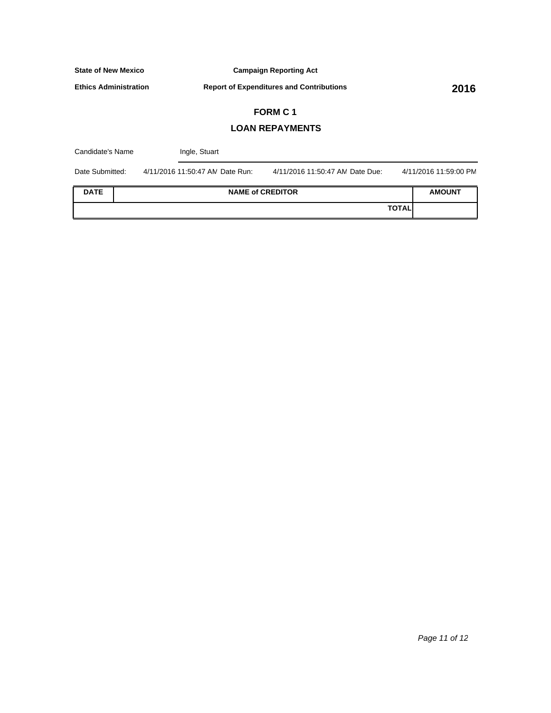**Campaign Reporting Act**

**Ethics Administration**

**Report of Expenditures and Contributions 2016**

# **FORM C 1**

## **LOAN REPAYMENTS**

| Candidate's Name |  | Ingle, Stuart                   |                                 |                       |
|------------------|--|---------------------------------|---------------------------------|-----------------------|
| Date Submitted:  |  | 4/11/2016 11:50:47 AN Date Run: | 4/11/2016 11:50:47 AN Date Due: | 4/11/2016 11:59:00 PM |
| <b>DATE</b>      |  |                                 | <b>NAME of CREDITOR</b>         | <b>AMOUNT</b>         |
|                  |  |                                 | <b>TOTAL</b>                    |                       |